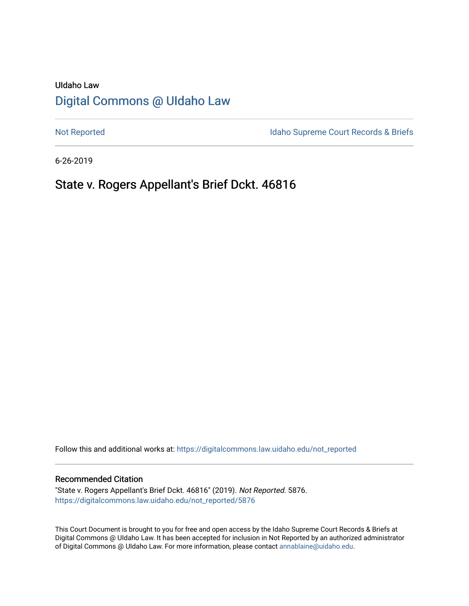## UIdaho Law [Digital Commons @ UIdaho Law](https://digitalcommons.law.uidaho.edu/)

[Not Reported](https://digitalcommons.law.uidaho.edu/not_reported) **Idaho Supreme Court Records & Briefs** 

6-26-2019

# State v. Rogers Appellant's Brief Dckt. 46816

Follow this and additional works at: [https://digitalcommons.law.uidaho.edu/not\\_reported](https://digitalcommons.law.uidaho.edu/not_reported?utm_source=digitalcommons.law.uidaho.edu%2Fnot_reported%2F5876&utm_medium=PDF&utm_campaign=PDFCoverPages) 

#### Recommended Citation

"State v. Rogers Appellant's Brief Dckt. 46816" (2019). Not Reported. 5876. [https://digitalcommons.law.uidaho.edu/not\\_reported/5876](https://digitalcommons.law.uidaho.edu/not_reported/5876?utm_source=digitalcommons.law.uidaho.edu%2Fnot_reported%2F5876&utm_medium=PDF&utm_campaign=PDFCoverPages)

This Court Document is brought to you for free and open access by the Idaho Supreme Court Records & Briefs at Digital Commons @ UIdaho Law. It has been accepted for inclusion in Not Reported by an authorized administrator of Digital Commons @ UIdaho Law. For more information, please contact [annablaine@uidaho.edu](mailto:annablaine@uidaho.edu).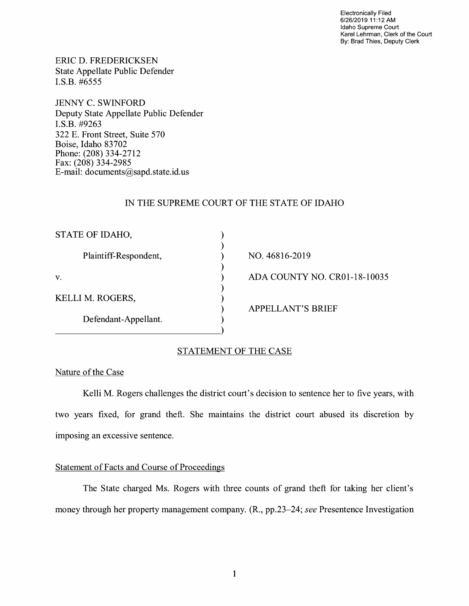Electronically Filed 6/26/2019 11 :12 AM Idaho Supreme Court Karel Lehrman, Clerk of the Court By: Brad Thies, Deputy Clerk

ERIC D. FREDERICKSEN State Appellate Public Defender I.S.B. #6555

JENNY C. SWINFORD Deputy State Appellate Public Defender **I.S.B.** #9263 322 E. Front Street, Suite 570 Boise, Idaho 83702 Phone: (208) 334-2712 Fax: (208) 334-2985 E-mail: documents@sapd.state.id. us

## IN THE SUPREME COURT OF THE STATE OF IDAHO

| STATE OF IDAHO,       |                              |
|-----------------------|------------------------------|
| Plaintiff-Respondent, | NO. 46816-2019               |
| V.                    | ADA COUNTY NO. CR01-18-10035 |
| KELLI M. ROGERS,      | <b>APPELLANT'S BRIEF</b>     |
| Defendant-Appellant.  |                              |
|                       |                              |

## STATEMENT OF THE CASE

## Nature of the Case

Kelli M. Rogers challenges the district court's decision to sentence her to five years, with two years fixed, for grand theft. She maintains the district court abused its discretion by imposing an excessive sentence.

## Statement of Facts and Course of Proceedings

The State charged Ms. Rogers with three counts of grand theft for taking her client's money through her property management company. (R., pp.23-24; *see* Presentence Investigation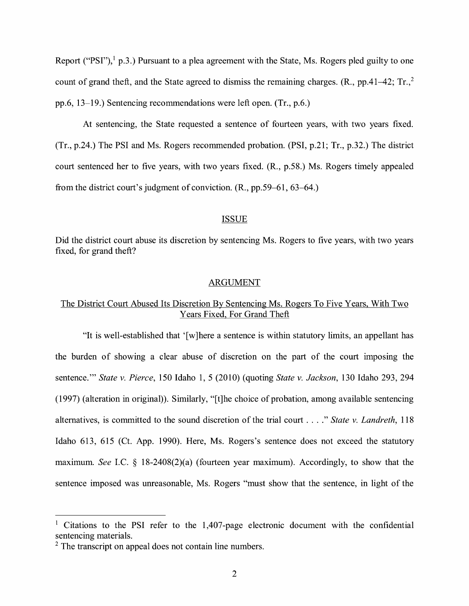Report ("PSI"), $<sup>1</sup>$  p.3.) Pursuant to a plea agreement with the State, Ms. Rogers pled guilty to one</sup> count of grand theft, and the State agreed to dismiss the remaining charges.  $(R_{.,} pp.41-42; Tr_{.,}^2)$ pp.6, 13-19.) Sentencing recommendations were left open. (Tr., p.6.)

At sentencing, the State requested a sentence of fourteen years, with two years fixed. (Tr., p.24.) The PSI and Ms. Rogers recommended probation. (PSI, p.21; Tr., p.32.) The district court sentenced her to five years, with two years fixed. (R., p.58.) Ms. Rogers timely appealed from the district court's judgment of conviction. (R., pp.59-61, 63-64.)

#### ISSUE

Did the district court abuse its discretion by sentencing Ms. Rogers to five years, with two years fixed, for grand theft?

#### ARGUMENT

## The District Court Abused Its Discretion By Sentencing Ms. Rogers To Five Years, With Two Years Fixed, For Grand Theft

"It is well-established that ' [ w ]here a sentence is within statutory limits, an appellant has the burden of showing a clear abuse of discretion on the part of the court imposing the sentence."' *State v. Pierce,* 150 Idaho 1, 5 (2010) (quoting *State v. Jackson,* 130 Idaho 293, 294 (1997) (alteration in original)). Similarly, "[t]he choice of probation, among available sentencing alternatives, is committed to the sound discretion of the trial court .... " *State v. Landreth,* <sup>118</sup> Idaho 613, 615 (Ct. App. 1990). Here, Ms. Rogers's sentence does not exceed the statutory maximum. *See* LC. § 18-2408(2)(a) (fourteen year maximum). Accordingly, to show that the sentence imposed was unreasonable, Ms. Rogers "must show that the sentence, in light of the

<sup>&</sup>lt;sup>1</sup> Citations to the PSI refer to the 1,407-page electronic document with the confidential sentencing materials.

<sup>&</sup>lt;sup>2</sup> The transcript on appeal does not contain line numbers.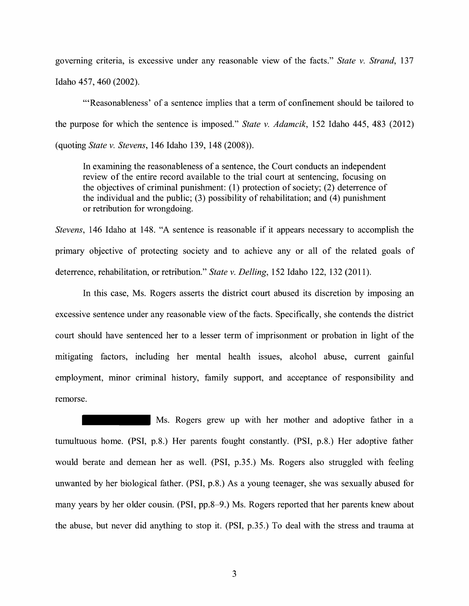governing criteria, is excessive under any reasonable view of the facts." *State v. Strand,* 137 Idaho 457, 460 (2002).

"'Reasonableness' of a sentence implies that a term of confinement should be tailored to the purpose for which the sentence is imposed." *State v. Adamcik,* 152 Idaho 445, 483 (2012) (quoting *State v. Stevens,* 146 Idaho 139, 148 (2008)).

In examining the reasonableness of a sentence, the Court conducts an independent review of the entire record available to the trial court at sentencing, focusing on the objectives of criminal punishment: (1) protection of society; (2) deterrence of the individual and the public;  $(3)$  possibility of rehabilitation; and  $(4)$  punishment or retribution for wrongdoing.

*Stevens,* 146 Idaho at 148. "A sentence is reasonable if it appears necessary to accomplish the primary objective of protecting society and to achieve any or all of the related goals of deterrence, rehabilitation, or retribution." *State v. Delling,* 152 Idaho 122, 132 (2011).

In this case, Ms. Rogers asserts the district court abused its discretion by imposing an excessive sentence under any reasonable view of the facts. Specifically, she contends the district court should have sentenced her to a lesser term of imprisonment or probation in light of the mitigating factors, including her mental health issues, alcohol abuse, current gainful employment, minor criminal history, family support, and acceptance of responsibility and remorse.

Ms. Rogers grew up with her mother and adoptive father in a tumultuous home. **(PSI,** p.8.) Her parents fought constantly. **(PSI,** p.8.) Her adoptive father would berate and demean her as well. (PSI, p.35.) Ms. Rogers also struggled with feeling unwanted by her biological father. (PSI, p.8.) As a young teenager, she was sexually abused for many years by her older cousin. (PSI, pp.8-9.) Ms. Rogers reported that her parents knew about the abuse, but never did anything to stop it. (PSI, p.35.) To deal with the stress and trauma at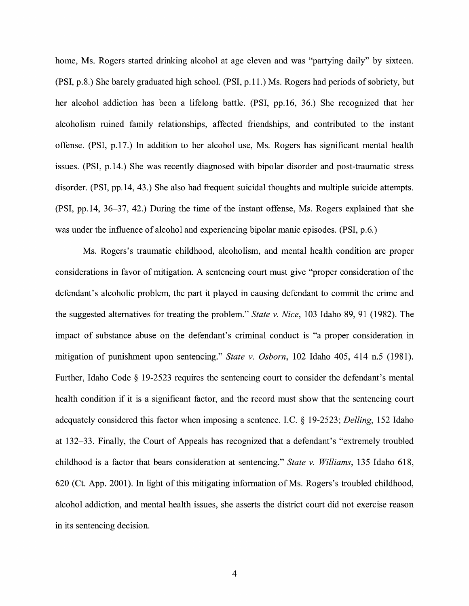home, Ms. Rogers started drinking alcohol at age eleven and was "partying daily" by sixteen. (PSI, p.8.) She barely graduated high school. (PSI, p.11.) Ms. Rogers had periods of sobriety, but her alcohol addiction has been a lifelong battle. (PSI, pp.16, 36.) She recognized that her alcoholism ruined family relationships, affected friendships, and contributed to the instant offense. (PSI, p.17.) In addition to her alcohol use, Ms. Rogers has significant mental health issues. (PSI, p.14.) She was recently diagnosed with bipolar disorder and post-traumatic stress disorder. (PSI, pp.14, 43.) She also had frequent suicidal thoughts and multiple suicide attempts. (PSI, pp.14, 36-37, 42.) During the time of the instant offense, Ms. Rogers explained that she was under the influence of alcohol and experiencing bipolar manic episodes. (PSI, p.6.)

Ms. Rogers's traumatic childhood, alcoholism, and mental health condition are proper considerations in favor of mitigation. A sentencing court must give "proper consideration of the defendant's alcoholic problem, the part it played in causing defendant to commit the crime and the suggested alternatives for treating the problem." *State v. Nice,* 103 Idaho 89, 91 (1982). The impact of substance abuse on the defendant's criminal conduct is "a proper consideration in mitigation of punishment upon sentencing." *State v. Osborn,* 102 Idaho 405, 414 n.5 (1981). Further, Idaho Code § 19-2523 requires the sentencing court to consider the defendant's mental health condition if it is a significant factor, and the record must show that the sentencing court adequately considered this factor when imposing a sentence. LC. § 19-2523; *Delling,* 152 Idaho at 132-33. Finally, the Court of Appeals has recognized that a defendant's "extremely troubled childhood is a factor that bears consideration at sentencing." *State v. Williams,* 135 Idaho 618, 620 (Ct. App. 2001). In light of this mitigating information of Ms. Rogers's troubled childhood, alcohol addiction, and mental health issues, she asserts the district court did not exercise reason in its sentencing decision.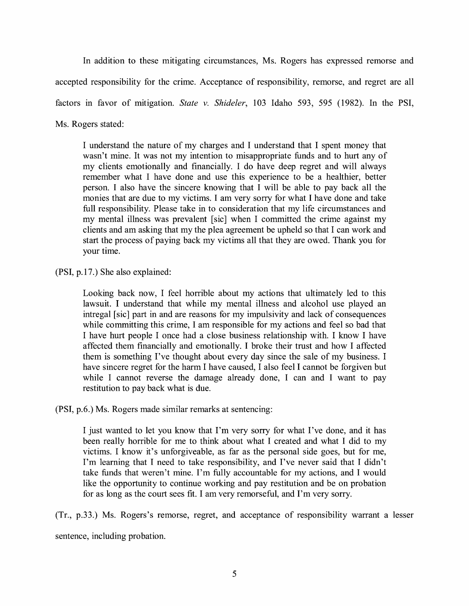In addition to these mitigating circumstances, Ms. Rogers has expressed remorse and accepted responsibility for the crime. Acceptance of responsibility, remorse, and regret are all factors in favor of mitigation. *State v. Shideler,* 103 Idaho 593, 595 (1982). In the PSI, Ms. Rogers stated:

I understand the nature of my charges and I understand that I spent money that wasn't mine. It was not my intention to misappropriate funds and to hurt any of my clients emotionally and financially. I do have deep regret and will always remember what I have done and use this experience to be a healthier, better person. I also have the sincere knowing that I will be able to pay back all the monies that are due to my victims. I am very sorry for what I have done and take full responsibility. Please take in to consideration that my life circumstances and my mental illness was prevalent [sic] when I committed the crime against my clients and am asking that my the plea agreement be upheld so that I can work and start the process of paying back my victims all that they are owed. Thank you for your time.

(PSI, p.17.) She also explained:

Looking back now, I feel horrible about my actions that ultimately led to this lawsuit. I understand that while my mental illness and alcohol use played an intregal [sic] part in and are reasons for my impulsivity and lack of consequences while committing this crime, I am responsible for my actions and feel so bad that I have hurt people I once had a close business relationship with. I know I have affected them financially and emotionally. I broke their trust and how I affected them is something I've thought about every day since the sale of my business. I have sincere regret for the harm I have caused, I also feel I cannot be forgiven but while I cannot reverse the damage already done, I can and I want to pay restitution to pay back what is due.

**(PSI,** p.6.) Ms. Rogers made similar remarks at sentencing:

I just wanted to let you know that I'm very sorry for what I've done, and it has been really horrible for me to think about what I created and what I did to my victims. I know it's unforgiveable, as far as the personal side goes, but for me, I'm learning that I need to take responsibility, and I've never said that I didn't take funds that weren't mine. I'm fully accountable for my actions, and I would like the opportunity to continue working and pay restitution and be on probation for as long as the court sees fit. I am very remorseful, and I'm very sorry.

(Tr., p.33.) Ms. Rogers's remorse, regret, and acceptance of responsibility warrant a lesser

sentence, including probation.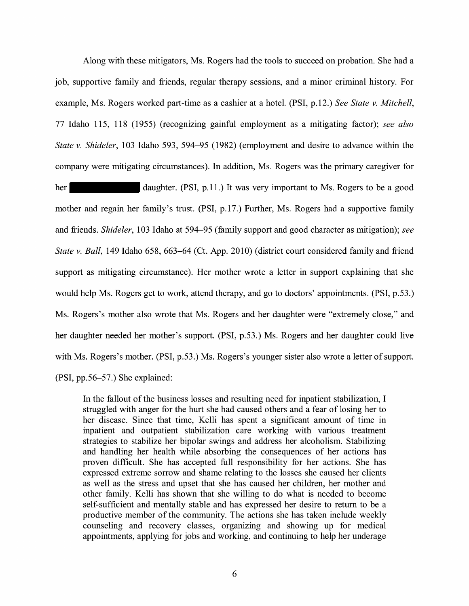Along with these mitigators, Ms. Rogers had the tools to succeed on probation. She had a job, supportive family and friends, regular therapy sessions, and a minor criminal history. For example, Ms. Rogers worked part-time as a cashier at a hotel. (PSI, p.12.) *See State v. Mitchell,*  77 Idaho 115, 118 (1955) (recognizing gainful employment as a mitigating factor); *see also State v. Shideler,* 103 Idaho 593, 594-95 (1982) (employment and desire to advance within the company were mitigating circumstances). In addition, Ms. Rogers was the primary caregiver for

her daughter. (PSI, p.11.) It was very important to Ms. Rogers to be a good mother and regain her family's trust. (PSI, p.17.) Further, Ms. Rogers had a supportive family and friends. *Shideler,* 103 Idaho at 594-95 (family support and good character as mitigation); *see State v. Ball,* 149 Idaho 658, 663-64 (Ct. App. 2010) (district court considered family and friend support as mitigating circumstance). Her mother wrote a letter in support explaining that she would help Ms. Rogers get to work, attend therapy, and go to doctors' appointments. (PSI, p.53.) Ms. Rogers's mother also wrote that Ms. Rogers and her daughter were "extremely close," and her daughter needed her mother's support. (PSI, p.53.) Ms. Rogers and her daughter could live with Ms. Rogers's mother. (PSI, p.53.) Ms. Rogers's younger sister also wrote a letter of support. (PSI, pp.56-57.) She explained:

In the fallout of the business losses and resulting need for inpatient stabilization, I struggled with anger for the hurt she had caused others and a fear of losing her to her disease. Since that time, Kelli has spent a significant amount of time in inpatient and outpatient stabilization care working with various treatment strategies to stabilize her bipolar swings and address her alcoholism. Stabilizing and handling her health while absorbing the consequences of her actions has proven difficult. She has accepted full responsibility for her actions. She has expressed extreme sorrow and shame relating to the losses she caused her clients as well as the stress and upset that she has caused her children, her mother and other family. Kelli has shown that she willing to do what is needed to become self-sufficient and mentally stable and has expressed her desire to return to be a productive member of the community. The actions she has taken include weekly counseling and recovery classes, organizing and showing up for medical appointments, applying for jobs and working, and continuing to help her underage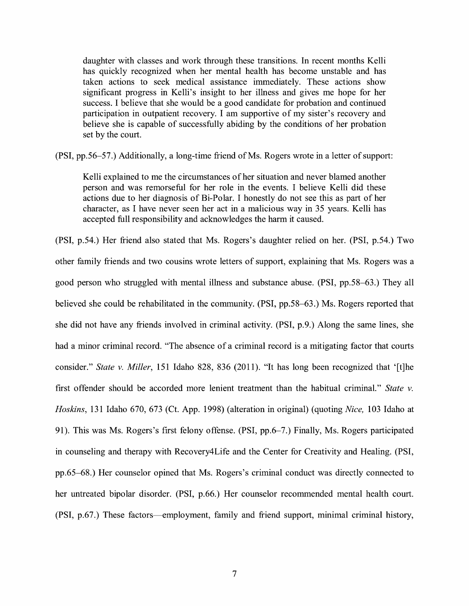daughter with classes and work through these transitions. In recent months Kelli has quickly recognized when her mental health has become unstable and has taken actions to seek medical assistance immediately. These actions show significant progress in Kelli's insight to her illness and gives me hope for her success. I believe that she would be a good candidate for probation and continued participation in outpatient recovery. I am supportive of my sister's recovery and believe she is capable of successfully abiding by the conditions of her probation set by the court.

**(PSI,** pp.56-57.) Additionally, a long-time friend of Ms. Rogers wrote in a letter of support:

Kelli explained to me the circumstances of her situation and never blamed another person and was remorseful for her role in the events. I believe Kelli did these actions due to her diagnosis of Bi-Polar. I honestly do not see this as part of her character, as I have never seen her act in a malicious way in 35 years. Kelli has accepted full responsibility and acknowledges the harm it caused.

(PSI, p.54.) Her friend also stated that Ms. Rogers's daughter relied on her. (PSI, p.54.) Two other family friends and two cousins wrote letters of support, explaining that Ms. Rogers was a good person who struggled with mental illness and substance abuse. (PSI, pp.58-63.) They all believed she could be rehabilitated in the community. (PSI, pp.58-63.) Ms. Rogers reported that she did not have any friends involved in criminal activity. (PSI, p.9.) Along the same lines, she had a minor criminal record. "The absence of a criminal record is a mitigating factor that courts consider." *State v. Miller,* 151 Idaho 828, 836 (2011). "It has long been recognized that '[t]he first offender should be accorded more lenient treatment than the habitual criminal." *State v. Hoskins,* 131 Idaho 670, 673 (Ct. App. 1998) (alteration in original) (quoting *Nice,* 103 Idaho at 91). This was Ms. Rogers's first felony offense. (PSI, pp.6-7.) Finally, Ms. Rogers participated in counseling and therapy with Recovery4 Life and the Center for Creativity and Healing. (PSI, pp.65-68.) Her counselor opined that Ms. Rogers's criminal conduct was directly connected to her untreated bipolar disorder. (PSI, p.66.) Her counselor recommended mental health court. (PSI, p.67.) These factors—employment, family and friend support, minimal criminal history,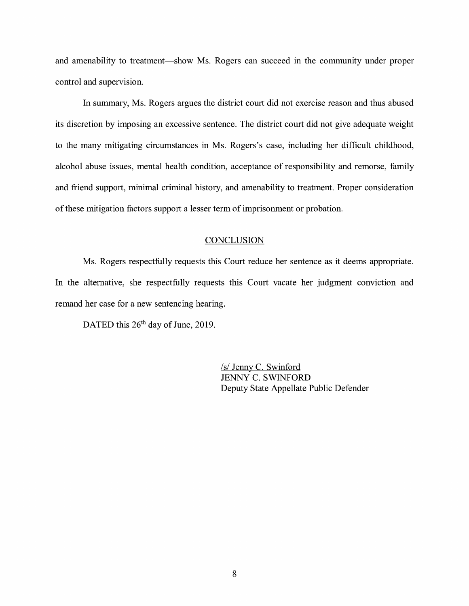and amenability to treatment—show Ms. Rogers can succeed in the community under proper control and supervision.

In summary, Ms. Rogers argues the district court did not exercise reason and thus abused its discretion by imposing an excessive sentence. The district court did not give adequate weight to the many mitigating circumstances in Ms. Rogers's case, including her difficult childhood, alcohol abuse issues, mental health condition, acceptance of responsibility and remorse, family and friend support, minimal criminal history, and amenability to treatment. Proper consideration of these mitigation factors support a lesser term of imprisonment or probation.

## **CONCLUSION**

Ms. Rogers respectfully requests this Court reduce her sentence as it deems appropriate. In the alternative, she respectfully requests this Court vacate her judgment conviction and remand her case for a new sentencing hearing.

DATED this  $26<sup>th</sup>$  day of June, 2019.

/s/ Jenny C. Swinford JENNY C. SWINFORD Deputy State Appellate Public Defender